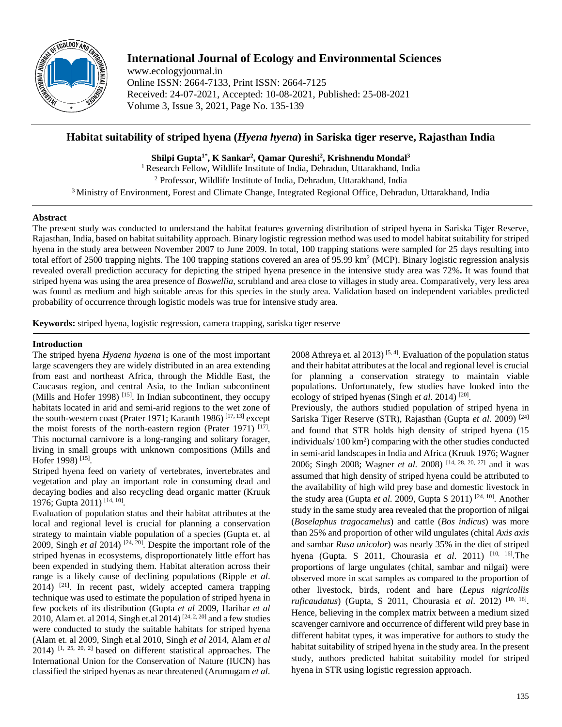

# **International Journal of Ecology and Environmental Sciences**

www.ecologyjournal.in Online ISSN: 2664-7133, Print ISSN: 2664-7125 Received: 24-07-2021, Accepted: 10-08-2021, Published: 25-08-2021 Volume 3, Issue 3, 2021, Page No. 135-139

## **Habitat suitability of striped hyena (***Hyena hyena***) in Sariska tiger reserve, Rajasthan India**

**Shilpi Gupta1\* , K Sankar2 , Qamar Qureshi2 , Krishnendu Mondal3**

<sup>1</sup> Research Fellow, Wildlife Institute of India, Dehradun, Uttarakhand, India <sup>2</sup> Professor, Wildlife Institute of India, Dehradun, Uttarakhand, India

<sup>3</sup> Ministry of Environment, Forest and Climate Change, Integrated Regional Office, Dehradun, Uttarakhand, India

## **Abstract**

The present study was conducted to understand the habitat features governing distribution of striped hyena in Sariska Tiger Reserve, Rajasthan, India, based on habitat suitability approach. Binary logistic regression method was used to model habitat suitability for striped hyena in the study area between November 2007 to June 2009. In total, 100 trapping stations were sampled for 25 days resulting into total effort of 2500 trapping nights. The 100 trapping stations covered an area of 95.99 km<sup>2</sup> (MCP). Binary logistic regression analysis revealed overall prediction accuracy for depicting the striped hyena presence in the intensive study area was 72%**.** It was found that striped hyena was using the area presence of *Boswellia*, scrubland and area close to villages in study area. Comparatively, very less area was found as medium and high suitable areas for this species in the study area. Validation based on independent variables predicted probability of occurrence through logistic models was true for intensive study area.

**Keywords:** striped hyena, logistic regression, camera trapping, sariska tiger reserve

## **Introduction**

The striped hyena *Hyaena hyaena* is one of the most important large scavengers they are widely distributed in an area extending from east and northeast Africa, through the Middle East, the Caucasus region, and central Asia, to the Indian subcontinent (Mills and Hofer 1998)<sup>[15]</sup>. In Indian subcontinent, they occupy habitats located in arid and semi-arid regions to the wet zone of the south-western coast (Prater 1971; Karanth 1986)<sup>[17, 13]</sup> except the moist forests of the north-eastern region (Prater 1971) [17]. This nocturnal carnivore is a long-ranging and solitary forager, living in small groups with unknown compositions (Mills and Hofer 1998)<sup>[15]</sup>.

Striped hyena feed on variety of vertebrates, invertebrates and vegetation and play an important role in consuming dead and decaying bodies and also recycling dead organic matter (Kruuk 1976; Gupta 2011) [14, 10] .

Evaluation of population status and their habitat attributes at the local and regional level is crucial for planning a conservation strategy to maintain viable population of a species (Gupta et. al 2009, Singh *et al* 2014) [24, 20] . Despite the important role of the striped hyenas in ecosystems, disproportionately little effort has been expended in studying them. Habitat alteration across their range is a likely cause of declining populations (Ripple *et al*. 2014) [21] . In recent past, widely accepted camera trapping technique was used to estimate the population of striped hyena in few pockets of its distribution (Gupta *et al* 2009, Harihar *et al* 2010, Alam et. al 2014, Singh et. al 2014) <sup>[24, 2, 20]</sup> and a few studies were conducted to study the suitable habitats for striped hyena (Alam et. al 2009, Singh et.al 2010, Singh *et al* 2014, Alam *et al*  $2014$ ) <sup>[1, 25, 20, 2]</sup> based on different statistical approaches. The International Union for the Conservation of Nature (IUCN) has classified the striped hyenas as near threatened (Arumugam *et al*.

2008 Athreya et. al 2013)<sup>[5, 4]</sup>. Evaluation of the population status and their habitat attributes at the local and regional level is crucial for planning a conservation strategy to maintain viable populations. Unfortunately, few studies have looked into the ecology of striped hyenas (Singh et al. 2014)<sup>[20]</sup>.

Previously, the authors studied population of striped hyena in Sariska Tiger Reserve (STR), Rajasthan (Gupta *et al*. 2009) [24] and found that STR holds high density of striped hyena (15 individuals/ 100 km2 ) comparing with the other studies conducted in semi-arid landscapes in India and Africa (Kruuk 1976; Wagner 2006; Singh 2008; Wagner *et al.* 2008) [14, 28, 20, 27] and it was assumed that high density of striped hyena could be attributed to the availability of high wild prey base and domestic livestock in the study area (Gupta *et al.* 2009, Gupta S 2011)<sup>[24, 10]</sup>. Another study in the same study area revealed that the proportion of nilgai (*Boselaphus tragocamelus*) and cattle (*Bos indicus*) was more than 25% and proportion of other wild ungulates (chital *Axis axis* and sambar *Rusa unicolor*) was nearly 35% in the diet of striped hyena (Gupta. S 2011, Chourasia *et al.* 2011) <sup>[10, 16]</sup>. The proportions of large ungulates (chital, sambar and nilgai) were observed more in scat samples as compared to the proportion of other livestock, birds, rodent and hare (*Lepus nigricollis ruficaudatus*) (Gupta, S 2011, Chourasia *et al*. 2012) [10, 16] . Hence, believing in the complex matrix between a medium sized scavenger carnivore and occurrence of different wild prey base in different habitat types, it was imperative for authors to study the habitat suitability of striped hyena in the study area. In the present study, authors predicted habitat suitability model for striped hyena in STR using logistic regression approach.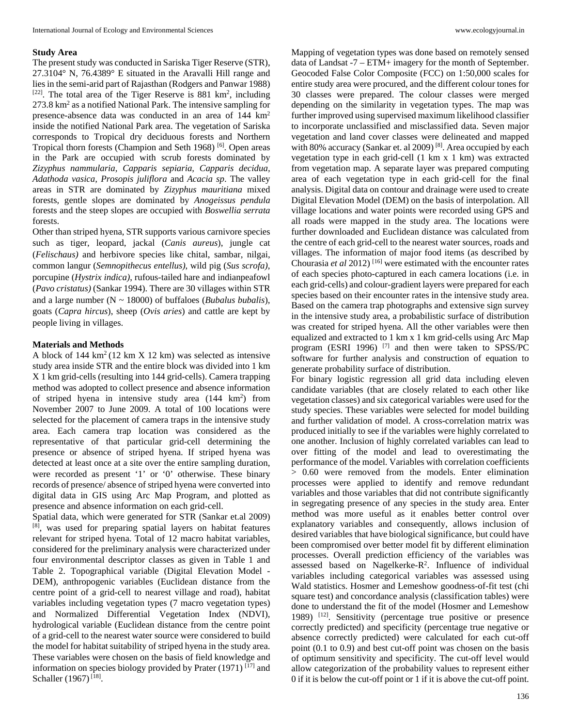#### **Study Area**

The present study was conducted in Sariska Tiger Reserve (STR), 27.3104° N, 76.4389° E situated in the Aravalli Hill range and lies in the semi-arid part of Rajasthan (Rodgers and Panwar 1988)  $[22]$ . The total area of the Tiger Reserve is 881 km<sup>2</sup>, including 273.8 km2 as a notified National Park. The intensive sampling for presence-absence data was conducted in an area of 144 km2 inside the notified National Park area. The vegetation of Sariska corresponds to Tropical dry deciduous forests and Northern Tropical thorn forests (Champion and Seth 1968)<sup>[6]</sup>. Open areas in the Park are occupied with scrub forests dominated by *Zizyphus nammularia, Capparis sepiaria, Capparis decidua, Adathoda vasica, Prosopis juliflora* and *Acacia sp*. The valley areas in STR are dominated by *Zizyphus mauritiana* mixed forests, gentle slopes are dominated by *Anogeissus pendula* forests and the steep slopes are occupied with *Boswellia serrata* forests.

Other than striped hyena, STR supports various carnivore species such as tiger, leopard, jackal (*Canis aureus*), jungle cat (*Felischaus)* and herbivore species like chital, sambar, nilgai, common langur (*Semnopithecus entellus)*, wild pig (*Sus scrofa)*, porcupine (*Hystrix indica)*, rufous-tailed hare and indianpeafowl (*Pavo cristatus)* (Sankar 1994). There are 30 villages within STR and a large number (N ~ 18000) of buffaloes (*Bubalus bubalis*), goats (*Capra hircus*), sheep (*Ovis aries*) and cattle are kept by people living in villages.

#### **Materials and Methods**

A block of  $144 \text{ km}^2 (12 \text{ km X } 12 \text{ km})$  was selected as intensive study area inside STR and the entire block was divided into 1 km X 1 km grid-cells (resulting into 144 grid-cells). Camera trapping method was adopted to collect presence and absence information of striped hyena in intensive study area (144 km<sup>2</sup>) from November 2007 to June 2009. A total of 100 locations were selected for the placement of camera traps in the intensive study area. Each camera trap location was considered as the representative of that particular grid-cell determining the presence or absence of striped hyena. If striped hyena was detected at least once at a site over the entire sampling duration, were recorded as present '1' or '0' otherwise. These binary records of presence/ absence of striped hyena were converted into digital data in GIS using Arc Map Program, and plotted as presence and absence information on each grid-cell.

Spatial data, which were generated for STR (Sankar et.al 2009) [8] , was used for preparing spatial layers on habitat features relevant for striped hyena. Total of 12 macro habitat variables, considered for the preliminary analysis were characterized under four environmental descriptor classes as given in Table 1 and Table 2. Topographical variable (Digital Elevation Model - DEM), anthropogenic variables (Euclidean distance from the centre point of a grid-cell to nearest village and road), habitat variables including vegetation types (7 macro vegetation types) and Normalized Differential Vegetation Index (NDVI), hydrological variable (Euclidean distance from the centre point of a grid-cell to the nearest water source were considered to build the model for habitat suitability of striped hyena in the study area. These variables were chosen on the basis of field knowledge and information on species biology provided by Prater (1971) [17] and Schaller (1967)<sup>[18]</sup>.

Mapping of vegetation types was done based on remotely sensed data of Landsat -7 – ETM+ imagery for the month of September. Geocoded False Color Composite (FCC) on 1:50,000 scales for entire study area were procured, and the different colour tones for 30 classes were prepared. The colour classes were merged depending on the similarity in vegetation types. The map was further improved using supervised maximum likelihood classifier to incorporate unclassified and misclassified data. Seven major vegetation and land cover classes were delineated and mapped with 80% accuracy (Sankar et. al 2009)<sup>[8]</sup>. Area occupied by each vegetation type in each grid-cell (1 km x 1 km) was extracted from vegetation map. A separate layer was prepared computing area of each vegetation type in each grid-cell for the final analysis. Digital data on contour and drainage were used to create Digital Elevation Model (DEM) on the basis of interpolation. All village locations and water points were recorded using GPS and all roads were mapped in the study area. The locations were further downloaded and Euclidean distance was calculated from the centre of each grid-cell to the nearest water sources, roads and villages. The information of major food items (as described by Chourasia *et al* 2012) [16] were estimated with the encounter rates of each species photo-captured in each camera locations (i.e. in each grid-cells) and colour-gradient layers were prepared for each species based on their encounter rates in the intensive study area. Based on the camera trap photographs and extensive sign survey in the intensive study area, a probabilistic surface of distribution was created for striped hyena. All the other variables were then equalized and extracted to 1 km x 1 km grid-cells using Arc Map program (ESRI 1996)<sup>[7]</sup> and then were taken to SPSS/PC software for further analysis and construction of equation to generate probability surface of distribution.

For binary logistic regression all grid data including eleven candidate variables (that are closely related to each other like vegetation classes) and six categorical variables were used for the study species. These variables were selected for model building and further validation of model. A cross-correlation matrix was produced initially to see if the variables were highly correlated to one another. Inclusion of highly correlated variables can lead to over fitting of the model and lead to overestimating the performance of the model. Variables with correlation coefficients > 0.60 were removed from the models. Enter elimination processes were applied to identify and remove redundant variables and those variables that did not contribute significantly in segregating presence of any species in the study area. Enter method was more useful as it enables better control over explanatory variables and consequently, allows inclusion of desired variables that have biological significance, but could have been compromised over better model fit by different elimination processes. Overall prediction efficiency of the variables was assessed based on Nagelkerke-R2 . Influence of individual variables including categorical variables was assessed using Wald statistics. Hosmer and Lemeshow goodness-of-fit test (chi square test) and concordance analysis (classification tables) were done to understand the fit of the model (Hosmer and Lemeshow 1989) <sup>[12]</sup>. Sensitivity (percentage true positive or presence correctly predicted) and specificity (percentage true negative or absence correctly predicted) were calculated for each cut-off point (0.1 to 0.9) and best cut-off point was chosen on the basis of optimum sensitivity and specificity. The cut-off level would allow categorization of the probability values to represent either 0 if it is below the cut-off point or 1 if it is above the cut-off point.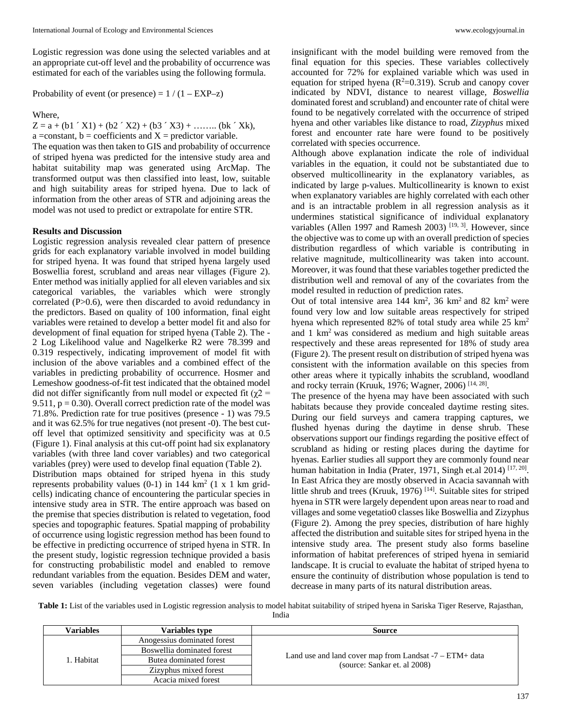Logistic regression was done using the selected variables and at an appropriate cut-off level and the probability of occurrence was estimated for each of the variables using the following formula.

Probability of event (or presence) =  $1/(1 - EXP-z)$ 

Where,

 $Z = a + (b1' X1) + (b2' X2) + (b3' X3) + \dots (b k' Xk),$ a =constant,  $b =$ coefficients and  $X =$ predictor variable.

The equation was then taken to GIS and probability of occurrence of striped hyena was predicted for the intensive study area and habitat suitability map was generated using ArcMap. The transformed output was then classified into least, low, suitable and high suitability areas for striped hyena. Due to lack of information from the other areas of STR and adjoining areas the model was not used to predict or extrapolate for entire STR.

#### **Results and Discussion**

Logistic regression analysis revealed clear pattern of presence grids for each explanatory variable involved in model building for striped hyena. It was found that striped hyena largely used Boswellia forest, scrubland and areas near villages (Figure 2). Enter method was initially applied for all eleven variables and six categorical variables, the variables which were strongly correlated (P>0.6), were then discarded to avoid redundancy in the predictors. Based on quality of 100 information, final eight variables were retained to develop a better model fit and also for development of final equation for striped hyena (Table 2). The - 2 Log Likelihood value and Nagelkerke R2 were 78.399 and 0.319 respectively, indicating improvement of model fit with inclusion of the above variables and a combined effect of the variables in predicting probability of occurrence. Hosmer and Lemeshow goodness-of-fit test indicated that the obtained model did not differ significantly from null model or expected fit ( $\chi$ 2 = 9.511,  $p = 0.30$ ). Overall correct prediction rate of the model was 71.8%. Prediction rate for true positives (presence - 1) was 79.5 and it was 62.5% for true negatives (not present -0). The best cutoff level that optimized sensitivity and specificity was at 0.5 (Figure 1). Final analysis at this cut-off point had six explanatory variables (with three land cover variables) and two categorical variables (prey) were used to develop final equation (Table 2).

Distribution maps obtained for striped hyena in this study represents probability values  $(0-1)$  in 144 km<sup>2</sup>  $(1 \times 1)$  km gridcells) indicating chance of encountering the particular species in intensive study area in STR. The entire approach was based on the premise that species distribution is related to vegetation, food species and topographic features. Spatial mapping of probability of occurrence using logistic regression method has been found to be effective in predicting occurrence of striped hyena in STR. In the present study, logistic regression technique provided a basis for constructing probabilistic model and enabled to remove redundant variables from the equation. Besides DEM and water, seven variables (including vegetation classes) were found

insignificant with the model building were removed from the final equation for this species. These variables collectively accounted for 72% for explained variable which was used in equation for striped hyena ( $R^2=0.319$ ). Scrub and canopy cover indicated by NDVI, distance to nearest village, *Boswellia* dominated forest and scrubland) and encounter rate of chital were found to be negatively correlated with the occurrence of striped hyena and other variables like distance to road, *Zizyphus* mixed forest and encounter rate hare were found to be positively correlated with species occurrence.

Although above explanation indicate the role of individual variables in the equation, it could not be substantiated due to observed multicollinearity in the explanatory variables, as indicated by large p-values. Multicollinearity is known to exist when explanatory variables are highly correlated with each other and is an intractable problem in all regression analysis as it undermines statistical significance of individual explanatory variables (Allen 1997 and Ramesh 2003)<sup>[19, 3]</sup>. However, since the objective was to come up with an overall prediction of species distribution regardless of which variable is contributing in relative magnitude, multicollinearity was taken into account. Moreover, it was found that these variables together predicted the distribution well and removal of any of the covariates from the model resulted in reduction of prediction rates.

Out of total intensive area  $144 \text{ km}^2$ ,  $36 \text{ km}^2$  and  $82 \text{ km}^2$  were found very low and low suitable areas respectively for striped hyena which represented 82% of total study area while  $25 \text{ km}^2$ and 1 km2 was considered as medium and high suitable areas respectively and these areas represented for 18% of study area (Figure 2). The present result on distribution of striped hyena was consistent with the information available on this species from other areas where it typically inhabits the scrubland, woodland and rocky terrain (Kruuk, 1976; Wagner, 2006)<sup>[14, 28]</sup>.

The presence of the hyena may have been associated with such habitats because they provide concealed daytime resting sites. During our field surveys and camera trapping captures, we flushed hyenas during the daytime in dense shrub. These observations support our findings regarding the positive effect of scrubland as hiding or resting places during the daytime for hyenas. Earlier studies all support they are commonly found near human habitation in India (Prater, 1971, Singh et.al 2014)<sup>[17, 20]</sup>. In East Africa they are mostly observed in Acacia savannah with little shrub and trees (Kruuk, 1976)<sup>[14]</sup>. Suitable sites for striped hyena in STR were largely dependent upon areas near to road and villages and some vegetatio0 classes like Boswellia and Zizyphus (Figure 2). Among the prey species, distribution of hare highly affected the distribution and suitable sites for striped hyena in the intensive study area. The present study also forms baseline information of habitat preferences of striped hyena in semiarid landscape. It is crucial to evaluate the habitat of striped hyena to ensure the continuity of distribution whose population is tend to decrease in many parts of its natural distribution areas.

**Table 1:** List of the variables used in Logistic regression analysis to model habitat suitability of striped hyena in Sariska Tiger Reserve, Rajasthan,

| Variables  | <b>Variables type</b>       | Source                                                                                     |  |  |  |
|------------|-----------------------------|--------------------------------------------------------------------------------------------|--|--|--|
| l. Habitat | Anogessius dominated forest |                                                                                            |  |  |  |
|            | Boswellia dominated forest  |                                                                                            |  |  |  |
|            | Butea dominated forest      | Land use and land cover map from Landsat $-7 - ETM + data$<br>(source: Sankar et. al 2008) |  |  |  |
|            | Zizyphus mixed forest       |                                                                                            |  |  |  |
|            | Acacia mixed forest         |                                                                                            |  |  |  |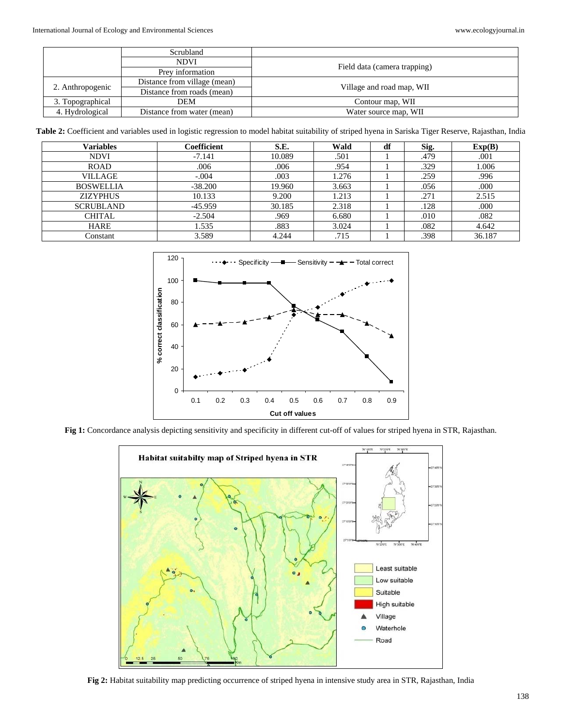|                  | Scrubland                    |                              |  |  |
|------------------|------------------------------|------------------------------|--|--|
|                  | <b>NDVI</b>                  |                              |  |  |
|                  | Prey information             | Field data (camera trapping) |  |  |
| 2. Anthropogenic | Distance from village (mean) | Village and road map, WII    |  |  |
|                  | Distance from roads (mean)   |                              |  |  |
| 3. Topographical | <b>DEM</b>                   | Contour map, WII             |  |  |
| 4. Hydrological  | Distance from water (mean)   | Water source map, WII        |  |  |

**Table 2:** Coefficient and variables used in logistic regression to model habitat suitability of striped hyena in Sariska Tiger Reserve, Rajasthan, India

| <b>Variables</b> | Coefficient | S.E.   | Wald  | df | Sig. | Exp(B) |
|------------------|-------------|--------|-------|----|------|--------|
| <b>NDVI</b>      | $-7.141$    | 10.089 | .501  |    | .479 | .001   |
| <b>ROAD</b>      | .006        | .006   | .954  |    | .329 | 1.006  |
| <b>VILLAGE</b>   | $-.004$     | .003   | 1.276 |    | .259 | .996   |
| <b>BOSWELLIA</b> | $-38.200$   | 19.960 | 3.663 |    | .056 | .000   |
| <b>ZIZYPHUS</b>  | 10.133      | 9.200  | 1.213 |    | .271 | 2.515  |
| <b>SCRUBLAND</b> | $-45.959$   | 30.185 | 2.318 |    | .128 | .000   |
| CHITAL           | $-2.504$    | .969   | 6.680 |    | .010 | .082   |
| <b>HARE</b>      | 1.535       | .883   | 3.024 |    | .082 | 4.642  |
| Constant         | 3.589       | 4.244  | .715  |    | .398 | 36.187 |



**Fig 1:** Concordance analysis depicting sensitivity and specificity in different cut-off of values for striped hyena in STR, Rajasthan.



**Fig 2:** Habitat suitability map predicting occurrence of striped hyena in intensive study area in STR, Rajasthan, India